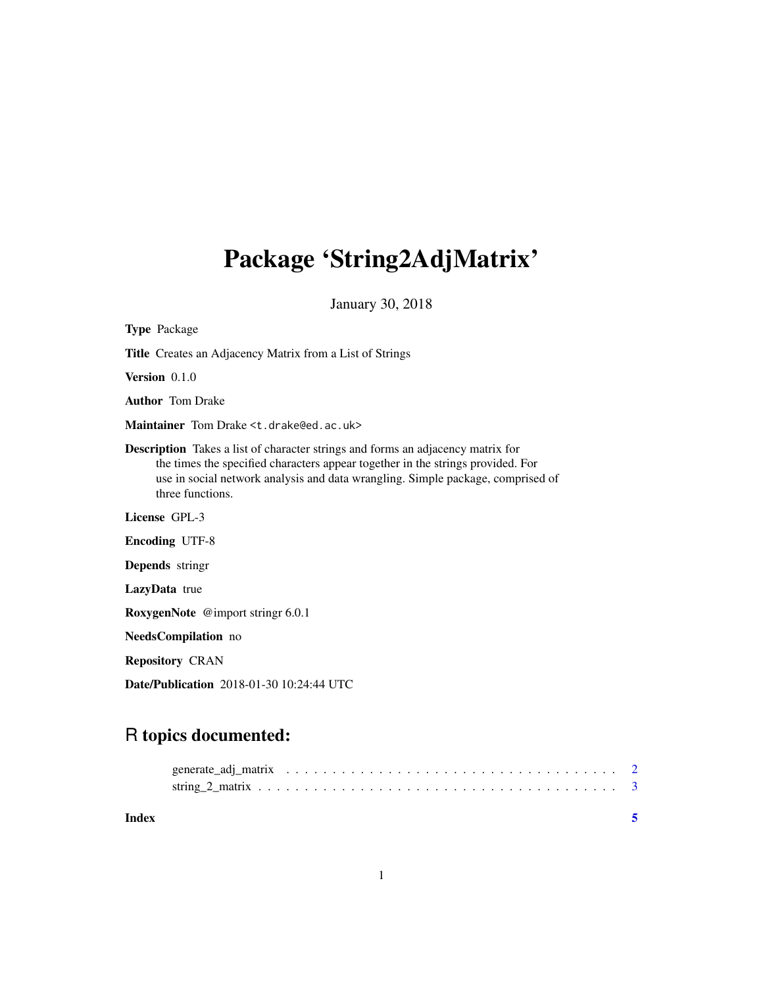## Package 'String2AdjMatrix'

January 30, 2018

| <b>Type Package</b>                                                                                                                                                                                                                                                              |
|----------------------------------------------------------------------------------------------------------------------------------------------------------------------------------------------------------------------------------------------------------------------------------|
| <b>Title</b> Creates an Adjacency Matrix from a List of Strings                                                                                                                                                                                                                  |
| Version $0.1.0$                                                                                                                                                                                                                                                                  |
| <b>Author</b> Tom Drake                                                                                                                                                                                                                                                          |
| Maintainer Tom Drake <t.drake@ed.ac.uk></t.drake@ed.ac.uk>                                                                                                                                                                                                                       |
| <b>Description</b> Takes a list of character strings and forms an adjacency matrix for<br>the times the specified characters appear together in the strings provided. For<br>use in social network analysis and data wrangling. Simple package, comprised of<br>three functions. |
| License GPL-3                                                                                                                                                                                                                                                                    |
| <b>Encoding UTF-8</b>                                                                                                                                                                                                                                                            |
| <b>Depends</b> stringr                                                                                                                                                                                                                                                           |
| <b>LazyData</b> true                                                                                                                                                                                                                                                             |
| RoxygenNote @import stringr 6.0.1                                                                                                                                                                                                                                                |
| NeedsCompilation no                                                                                                                                                                                                                                                              |
| <b>Repository CRAN</b>                                                                                                                                                                                                                                                           |
| <b>Date/Publication</b> 2018-01-30 10:24:44 UTC                                                                                                                                                                                                                                  |

### R topics documented:

| Index |  |  |  |  |  |  |  |  |  |  |  |  |  |  |  |  |  |
|-------|--|--|--|--|--|--|--|--|--|--|--|--|--|--|--|--|--|
|       |  |  |  |  |  |  |  |  |  |  |  |  |  |  |  |  |  |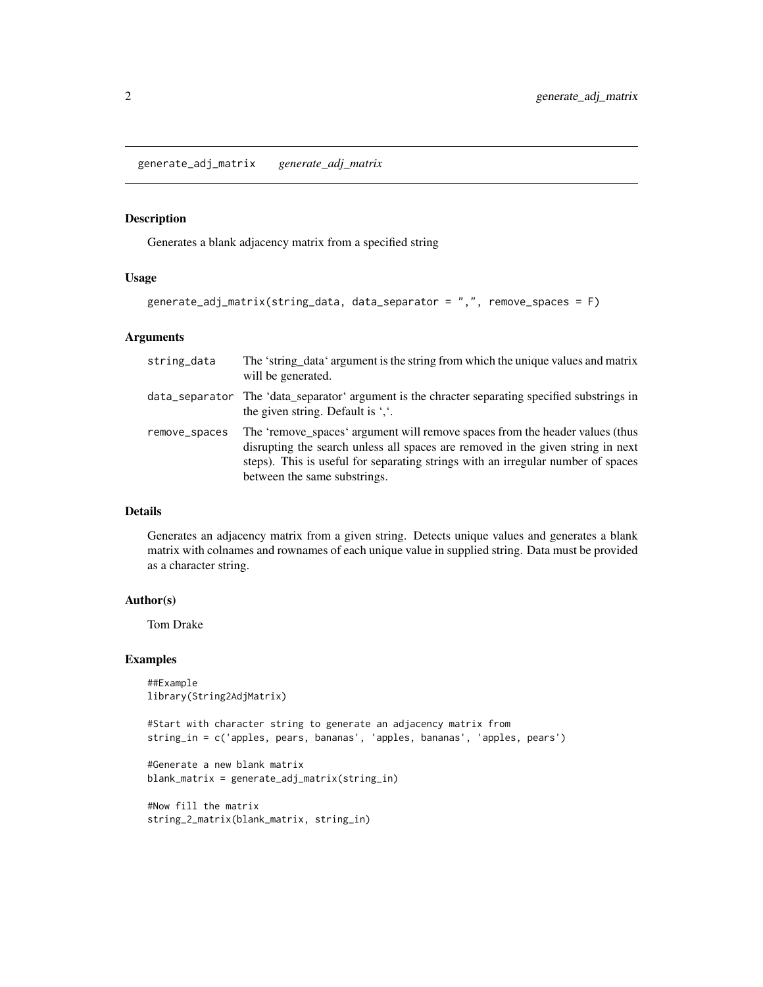<span id="page-1-0"></span>generate\_adj\_matrix *generate\_adj\_matrix*

#### Description

Generates a blank adjacency matrix from a specified string

#### Usage

```
generate_adj_matrix(string_data, data_separator = ",", remove_spaces = F)
```
#### Arguments

| string_data   | The 'string_data' argument is the string from which the unique values and matrix<br>will be generated.                                                                                                                                                                              |
|---------------|-------------------------------------------------------------------------------------------------------------------------------------------------------------------------------------------------------------------------------------------------------------------------------------|
|               | data_separator The 'data_separator' argument is the chracter separating specified substrings in<br>the given string. Default is $\cdot$ .                                                                                                                                           |
| remove_spaces | The 'remove_spaces' argument will remove spaces from the header values (thus<br>disrupting the search unless all spaces are removed in the given string in next<br>steps). This is useful for separating strings with an irregular number of spaces<br>between the same substrings. |

#### Details

Generates an adjacency matrix from a given string. Detects unique values and generates a blank matrix with colnames and rownames of each unique value in supplied string. Data must be provided as a character string.

#### Author(s)

Tom Drake

#### Examples

```
##Example
library(String2AdjMatrix)
```
#Start with character string to generate an adjacency matrix from string\_in = c('apples, pears, bananas', 'apples, bananas', 'apples, pears')

```
#Generate a new blank matrix
blank_matrix = generate_adj_matrix(string_in)
```

```
#Now fill the matrix
string_2_matrix(blank_matrix, string_in)
```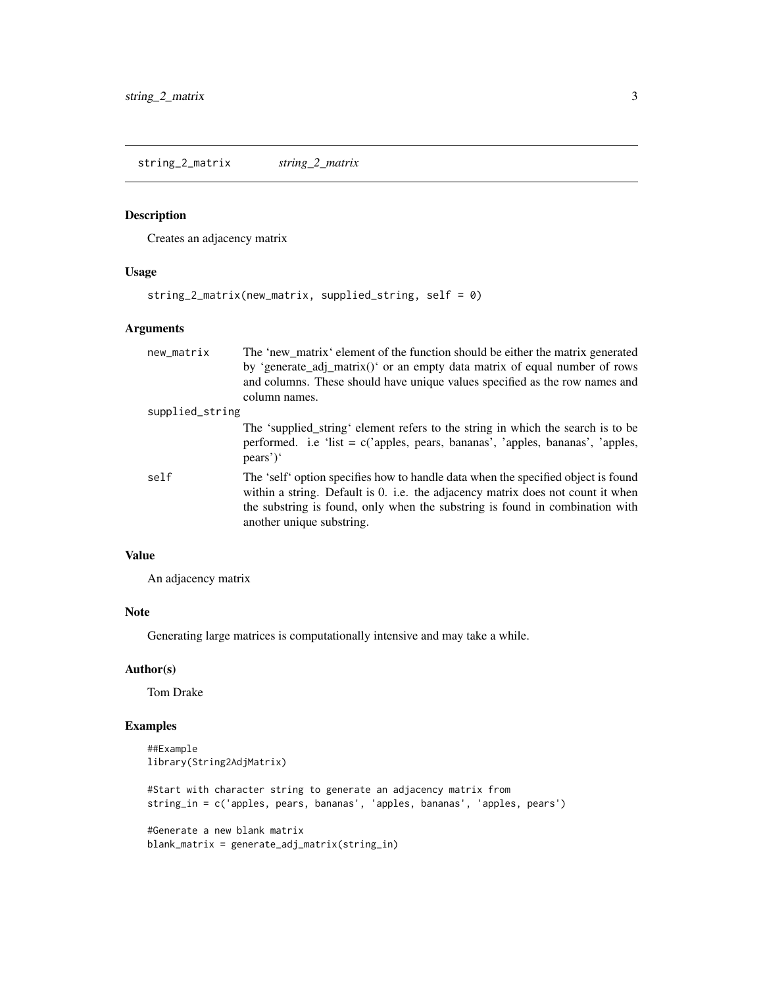<span id="page-2-0"></span>string\_2\_matrix *string\_2\_matrix*

#### Description

Creates an adjacency matrix

#### Usage

```
string_2_matrix(new_matrix, supplied_string, self = 0)
```
#### Arguments

| new_matrix      | The 'new_matrix' element of the function should be either the matrix generated                                                                                                                                                                                                    |
|-----------------|-----------------------------------------------------------------------------------------------------------------------------------------------------------------------------------------------------------------------------------------------------------------------------------|
|                 | by 'generate_adj_matrix()' or an empty data matrix of equal number of rows                                                                                                                                                                                                        |
|                 | and columns. These should have unique values specified as the row names and                                                                                                                                                                                                       |
|                 | column names.                                                                                                                                                                                                                                                                     |
| supplied_string |                                                                                                                                                                                                                                                                                   |
|                 | The 'supplied_string' element refers to the string in which the search is to be<br>performed. i.e 'list = $c$ ('apples, pears, bananas', 'apples, bananas', 'apples,<br>pears')'                                                                                                  |
| self            | The 'self' option specifies how to handle data when the specified object is found<br>within a string. Default is 0. i.e. the adjacency matrix does not count it when<br>the substring is found, only when the substring is found in combination with<br>another unique substring. |

#### Value

An adjacency matrix

#### Note

Generating large matrices is computationally intensive and may take a while.

#### Author(s)

Tom Drake

#### Examples

```
##Example
library(String2AdjMatrix)
#Start with character string to generate an adjacency matrix from
string_in = c('apples, pears, bananas', 'apples, bananas', 'apples, pears')
#Generate a new blank matrix
blank_matrix = generate_adj_matrix(string_in)
```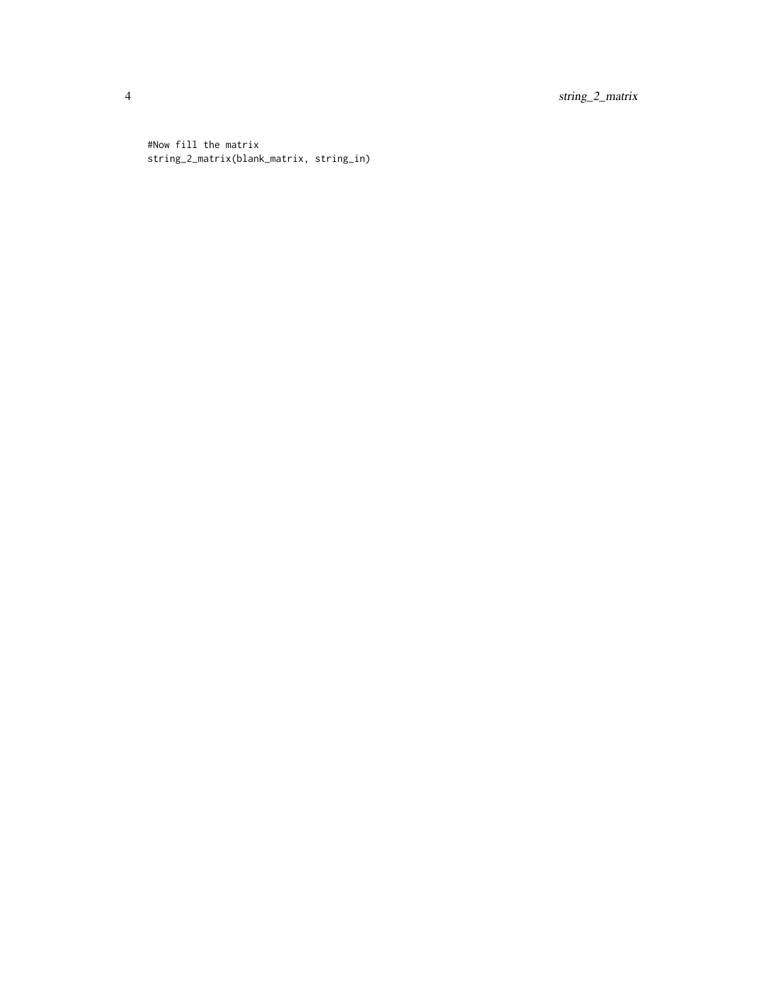4 string\_2\_matrix

#Now fill the matrix string\_2\_matrix(blank\_matrix, string\_in)